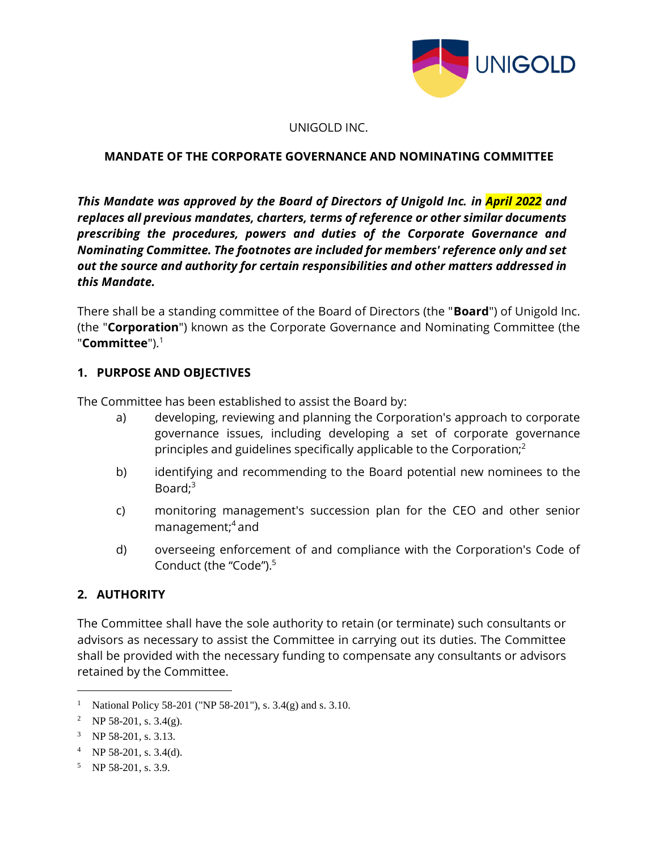

#### UNIGOLD INC.

#### **MANDATE OF THE CORPORATE GOVERNANCE AND NOMINATING COMMITTEE**

*This Mandate was approved by the Board of Directors of Unigold Inc. in April 2022 and replaces all previous mandates, charters, terms of reference or other similar documents prescribing the procedures, powers and duties of the Corporate Governance and Nominating Committee. The footnotes are included for members' reference only and set out the source and authority for certain responsibilities and other matters addressed in this Mandate.*

There shall be a standing committee of the Board of Directors (the "**Board**") of Unigold Inc. (the "**Corporation**") known as the Corporate Governance and Nominating Committee (the "**Committee**").<sup>1</sup>

#### **1. PURPOSE AND OBJECTIVES**

The Committee has been established to assist the Board by:

- a) developing, reviewing and planning the Corporation's approach to corporate governance issues, including developing a set of corporate governance principles and guidelines specifically applicable to the Corporation; $<sup>2</sup>$ </sup>
- b) identifying and recommending to the Board potential new nominees to the Board: $3$
- c) monitoring management's succession plan for the CEO and other senior management;<sup>4</sup> and
- d) overseeing enforcement of and compliance with the Corporation's Code of Conduct (the "Code"). 5

#### **2. AUTHORITY**

The Committee shall have the sole authority to retain (or terminate) such consultants or advisors as necessary to assist the Committee in carrying out its duties. The Committee shall be provided with the necessary funding to compensate any consultants or advisors retained by the Committee.

<sup>5</sup> NP 58-201, s. 3.9.

<sup>&</sup>lt;sup>1</sup> National Policy 58-201 ("NP 58-201"), s.  $3.4(g)$  and s.  $3.10$ .

<sup>&</sup>lt;sup>2</sup> NP 58-201, s. 3.4(g).

<sup>&</sup>lt;sup>3</sup> NP 58-201, s. 3.13.

<sup>&</sup>lt;sup>4</sup> NP 58-201, s. 3.4(d).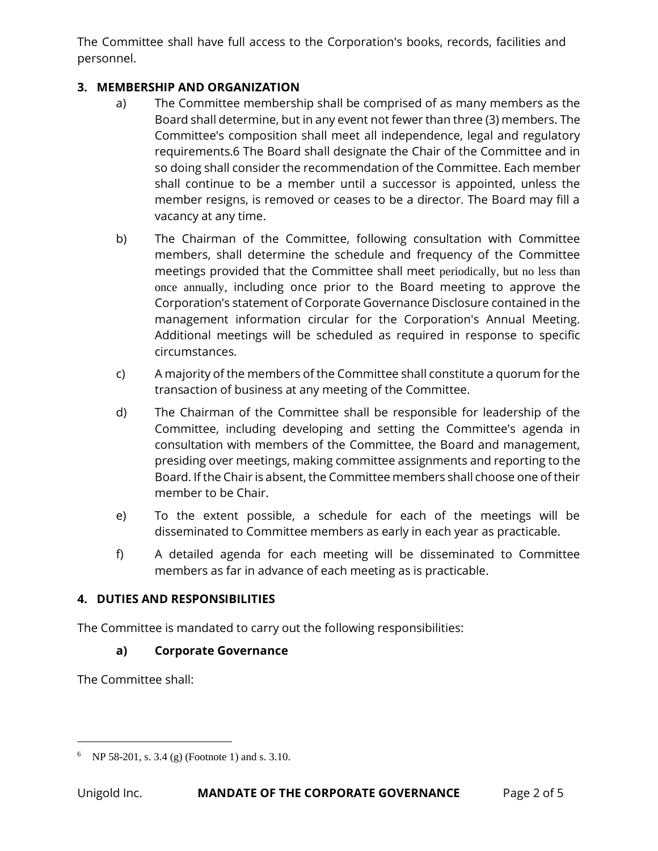The Committee shall have full access to the Corporation's books, records, facilities and personnel.

### **3. MEMBERSHIP AND ORGANIZATION**

- a) The Committee membership shall be comprised of as many members as the Board shall determine, but in any event not fewer than three (3) members. The Committee's composition shall meet all independence, legal and regulatory requirements.6 The Board shall designate the Chair of the Committee and in so doing shall consider the recommendation of the Committee. Each member shall continue to be a member until a successor is appointed, unless the member resigns, is removed or ceases to be a director. The Board may fill a vacancy at any time.
- b) The Chairman of the Committee, following consultation with Committee members, shall determine the schedule and frequency of the Committee meetings provided that the Committee shall meet periodically, but no less than once annually, including once prior to the Board meeting to approve the Corporation's statement of Corporate Governance Disclosure contained in the management information circular for the Corporation's Annual Meeting. Additional meetings will be scheduled as required in response to specific circumstances.
- c) A majority of the members of the Committee shall constitute a quorum for the transaction of business at any meeting of the Committee.
- d) The Chairman of the Committee shall be responsible for leadership of the Committee, including developing and setting the Committee's agenda in consultation with members of the Committee, the Board and management, presiding over meetings, making committee assignments and reporting to the Board. If the Chair is absent, the Committee members shall choose one of their member to be Chair.
- e) To the extent possible, a schedule for each of the meetings will be disseminated to Committee members as early in each year as practicable.
- f) A detailed agenda for each meeting will be disseminated to Committee members as far in advance of each meeting as is practicable.

## **4. DUTIES AND RESPONSIBILITIES**

The Committee is mandated to carry out the following responsibilities:

### **a) Corporate Governance**

The Committee shall:

<sup>6</sup> NP 58-201, s. 3.4 (g) (Footnote 1) and s. 3.10.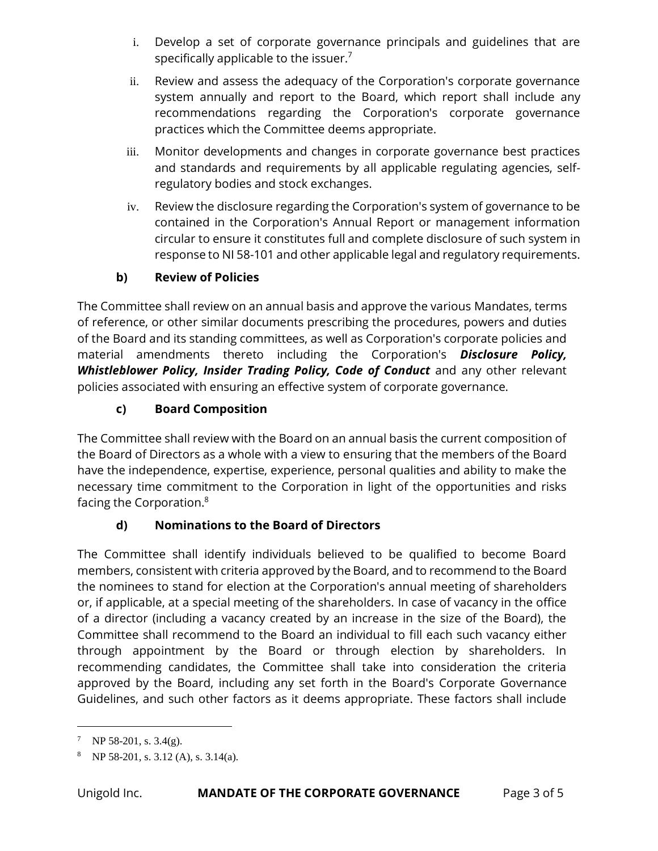- i. Develop a set of corporate governance principals and guidelines that are specifically applicable to the issuer.<sup>7</sup>
- ii. Review and assess the adequacy of the Corporation's corporate governance system annually and report to the Board, which report shall include any recommendations regarding the Corporation's corporate governance practices which the Committee deems appropriate.
- iii. Monitor developments and changes in corporate governance best practices and standards and requirements by all applicable regulating agencies, selfregulatory bodies and stock exchanges.
- iv. Review the disclosure regarding the Corporation's system of governance to be contained in the Corporation's Annual Report or management information circular to ensure it constitutes full and complete disclosure of such system in response to NI 58-101 and other applicable legal and regulatory requirements.

## **b) Review of Policies**

The Committee shall review on an annual basis and approve the various Mandates, terms of reference, or other similar documents prescribing the procedures, powers and duties of the Board and its standing committees, as well as Corporation's corporate policies and material amendments thereto including the Corporation's *Disclosure Policy, Whistleblower Policy, Insider Trading Policy, Code of Conduct* and any other relevant policies associated with ensuring an effective system of corporate governance.

# **c) Board Composition**

The Committee shall review with the Board on an annual basis the current composition of the Board of Directors as a whole with a view to ensuring that the members of the Board have the independence, expertise, experience, personal qualities and ability to make the necessary time commitment to the Corporation in light of the opportunities and risks facing the Corporation.<sup>8</sup>

# **d) Nominations to the Board of Directors**

The Committee shall identify individuals believed to be qualified to become Board members, consistent with criteria approved by the Board, and to recommend to the Board the nominees to stand for election at the Corporation's annual meeting of shareholders or, if applicable, at a special meeting of the shareholders. In case of vacancy in the office of a director (including a vacancy created by an increase in the size of the Board), the Committee shall recommend to the Board an individual to fill each such vacancy either through appointment by the Board or through election by shareholders. In recommending candidates, the Committee shall take into consideration the criteria approved by the Board, including any set forth in the Board's Corporate Governance Guidelines, and such other factors as it deems appropriate. These factors shall include

<sup>&</sup>lt;sup>7</sup> NP 58-201, s. 3.4(g).

<sup>&</sup>lt;sup>8</sup> NP 58-201, s. 3.12 (A), s. 3.14(a).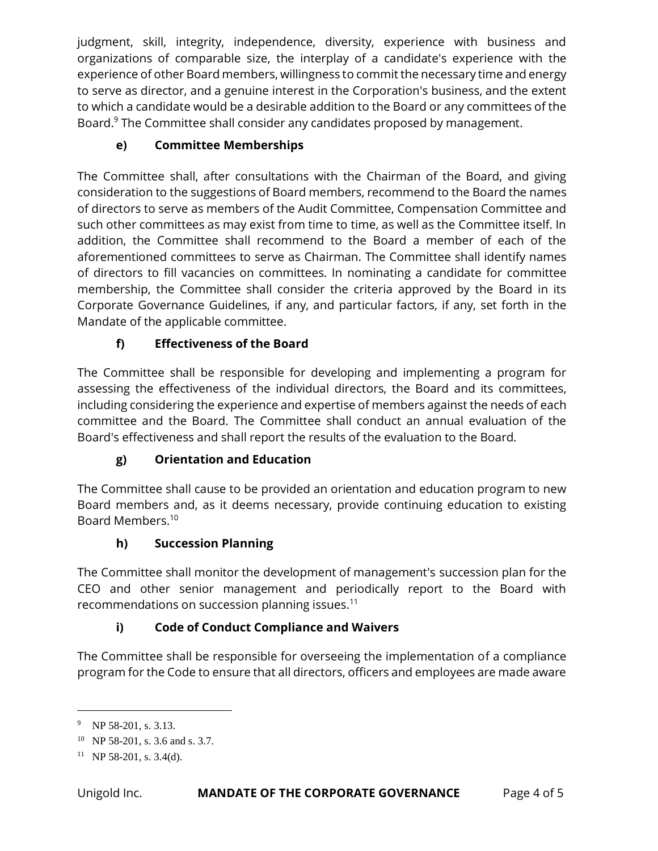judgment, skill, integrity, independence, diversity, experience with business and organizations of comparable size, the interplay of a candidate's experience with the experience of other Board members, willingness to commit the necessary time and energy to serve as director, and a genuine interest in the Corporation's business, and the extent to which a candidate would be a desirable addition to the Board or any committees of the Board.<sup>9</sup> The Committee shall consider any candidates proposed by management.

## **e) Committee Memberships**

The Committee shall, after consultations with the Chairman of the Board, and giving consideration to the suggestions of Board members, recommend to the Board the names of directors to serve as members of the Audit Committee, Compensation Committee and such other committees as may exist from time to time, as well as the Committee itself. In addition, the Committee shall recommend to the Board a member of each of the aforementioned committees to serve as Chairman. The Committee shall identify names of directors to fill vacancies on committees. In nominating a candidate for committee membership, the Committee shall consider the criteria approved by the Board in its Corporate Governance Guidelines, if any, and particular factors, if any, set forth in the Mandate of the applicable committee.

# **f) Effectiveness of the Board**

The Committee shall be responsible for developing and implementing a program for assessing the effectiveness of the individual directors, the Board and its committees, including considering the experience and expertise of members against the needs of each committee and the Board. The Committee shall conduct an annual evaluation of the Board's effectiveness and shall report the results of the evaluation to the Board.

## **g) Orientation and Education**

The Committee shall cause to be provided an orientation and education program to new Board members and, as it deems necessary, provide continuing education to existing Board Members.<sup>10</sup>

## **h) Succession Planning**

The Committee shall monitor the development of management's succession plan for the CEO and other senior management and periodically report to the Board with recommendations on succession planning issues. $11$ 

# **i) Code of Conduct Compliance and Waivers**

The Committee shall be responsible for overseeing the implementation of a compliance program for the Code to ensure that all directors, officers and employees are made aware

<sup>&</sup>lt;sup>9</sup> NP 58-201, s. 3.13.

<sup>&</sup>lt;sup>10</sup> NP 58-201, s. 3.6 and s. 3.7.

 $11$  NP 58-201, s. 3.4(d).